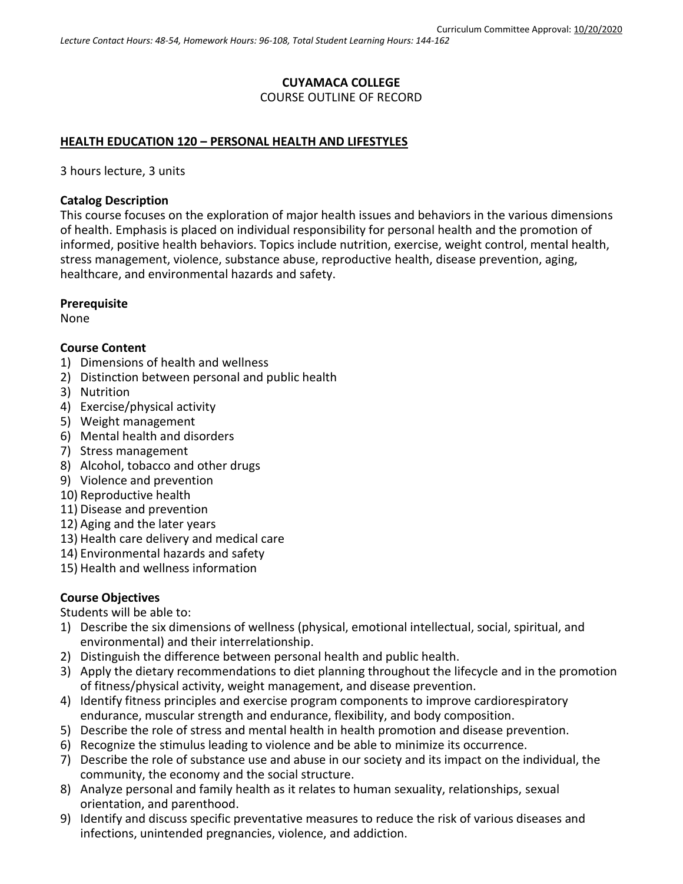# **CUYAMACA COLLEGE** COURSE OUTLINE OF RECORD

### **HEALTH EDUCATION 120 – PERSONAL HEALTH AND LIFESTYLES**

3 hours lecture, 3 units

### **Catalog Description**

This course focuses on the exploration of major health issues and behaviors in the various dimensions of health. Emphasis is placed on individual responsibility for personal health and the promotion of informed, positive health behaviors. Topics include nutrition, exercise, weight control, mental health, stress management, violence, substance abuse, reproductive health, disease prevention, aging, healthcare, and environmental hazards and safety.

### **Prerequisite**

None

### **Course Content**

- 1) Dimensions of health and wellness
- 2) Distinction between personal and public health
- 3) Nutrition
- 4) Exercise/physical activity
- 5) Weight management
- 6) Mental health and disorders
- 7) Stress management
- 8) Alcohol, tobacco and other drugs
- 9) Violence and prevention
- 10) Reproductive health
- 11) Disease and prevention
- 12) Aging and the later years
- 13) Health care delivery and medical care
- 14) Environmental hazards and safety
- 15) Health and wellness information

### **Course Objectives**

Students will be able to:

- 1) Describe the six dimensions of wellness (physical, emotional intellectual, social, spiritual, and environmental) and their interrelationship.
- 2) Distinguish the difference between personal health and public health.
- 3) Apply the dietary recommendations to diet planning throughout the lifecycle and in the promotion of fitness/physical activity, weight management, and disease prevention.
- 4) Identify fitness principles and exercise program components to improve cardiorespiratory endurance, muscular strength and endurance, flexibility, and body composition.
- 5) Describe the role of stress and mental health in health promotion and disease prevention.
- 6) Recognize the stimulus leading to violence and be able to minimize its occurrence.
- 7) Describe the role of substance use and abuse in our society and its impact on the individual, the community, the economy and the social structure.
- 8) Analyze personal and family health as it relates to human sexuality, relationships, sexual orientation, and parenthood.
- 9) Identify and discuss specific preventative measures to reduce the risk of various diseases and infections, unintended pregnancies, violence, and addiction.